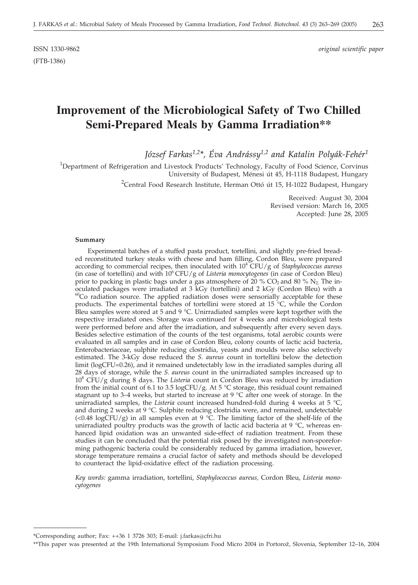# **Improvement of the Microbiological Safety of Two Chilled Semi-Prepared Meals by Gamma Irradiation\*\***

*József Farkas1,2\*, Éva Andrássy1,2 and Katalin Polyák-Fehér1*

<sup>1</sup>Department of Refrigeration and Livestock Products' Technology, Faculty of Food Science, Corvinus University of Budapest, Ménesi út 45, H-1118 Budapest, Hungary  $^{2}$ Central Food Research Institute, Herman Ottó út 15, H-1022 Budapest, Hungary

> Received: August 30, 2004 Revised version: March 16, 2005 Accepted: June 28, 2005

### **Summary**

Experimental batches of a stuffed pasta product, tortellini, and slightly pre-fried breaded reconstituted turkey steaks with cheese and ham filling, Cordon Bleu, were prepared according to commercial recipes, then inoculated with  $10^4$  CFU/g of *Staphylococcus aureus* (in case of tortellini) and with  $10^6$  CFU/g of *Listeria monocytogenes* (in case of Cordon Bleu) prior to packing in plastic bags under a gas atmosphere of 20 %  $CO_2$  and 80 %  $N_2$ . The inoculated packages were irradiated at 3 kGy (tortellini) and 2 kGy (Cordon Bleu) with a  $60$ Co radiation source. The applied radiation doses were sensorially acceptable for these products. The experimental batches of tortellini were stored at 15 °C, while the Cordon Bleu samples were stored at 5 and 9 °C. Unirradiated samples were kept together with the respective irradiated ones. Storage was continued for 4 weeks and microbiological tests were performed before and after the irradiation, and subsequently after every seven days. Besides selective estimation of the counts of the test organisms, total aerobic counts were evaluated in all samples and in case of Cordon Bleu, colony counts of lactic acid bacteria, Enterobacteriaceae, sulphite reducing clostridia, yeasts and moulds were also selectively estimated. The 3-kGy dose reduced the *S. aureus* count in tortellini below the detection limit (logCFU=0.26), and it remained undetectably low in the irradiated samples during all 28 days of storage, while the *S. aureus* count in the unirradiated samples increased up to  $10^8$  CFU/g during 8 days. The *Listeria* count in Cordon Bleu was reduced by irradiation from the initial count of 6.1 to 3.5 logCFU/g. At 5 °C storage, this residual count remained stagnant up to 3–4 weeks, but started to increase at 9 °C after one week of storage. In the unirradiated samples, the *Listeria* count increased hundred-fold during 4 weeks at 5 °C, and during 2 weeks at 9 °C. Sulphite reducing clostridia were, and remained, undetectable (<0.48 logCFU/g) in all samples even at 9 °C. The limiting factor of the shelf-life of the unirradiated poultry products was the growth of lactic acid bacteria at 9  $\degree$ C, whereas enhanced lipid oxidation was an unwanted side-effect of radiation treatment. From these studies it can be concluded that the potential risk posed by the investigated non-sporeforming pathogenic bacteria could be considerably reduced by gamma irradiation, however, storage temperature remains a crucial factor of safety and methods should be developed to counteract the lipid-oxidative effect of the radiation processing.

*Key words:* gamma irradiation, tortellini, *Staphylococcus aureus,* Cordon Bleu, *Listeria monocytogenes*

<sup>\*</sup>Corresponding author; Fax: ++36 1 3726 303; E-mail: j.farkas*@*cfri.hu

<sup>\*\*</sup>This paper was presented at the 19th International Symposium Food Micro 2004 in Portorož, Slovenia, September 12-16, 2004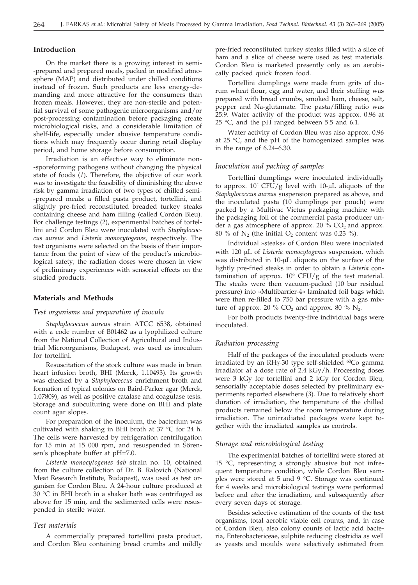### **Introduction**

On the market there is a growing interest in semi- -prepared and prepared meals, packed in modified atmosphere (MAP) and distributed under chilled conditions instead of frozen. Such products are less energy-demanding and more attractive for the consumers than frozen meals. However, they are non-sterile and potential survival of some pathogenic microorganisms and/or post-processing contamination before packaging create microbiological risks, and a considerable limitation of shelf-life, especially under abusive temperature conditions which may frequently occur during retail display period, and home storage before consumption.

Irradiation is an effective way to eliminate non- -sporeforming pathogens without changing the physical state of foods (*1*). Therefore, the objective of our work was to investigate the feasibility of diminishing the above risk by gamma irradiation of two types of chilled semi- -prepared meals: a filled pasta product, tortellini, and slightly pre-fried reconstituted breaded turkey steaks containing cheese and ham filling (called Cordon Bleu). For challenge testings (*2*), experimental batches of tortellini and Cordon Bleu were inoculated with *Staphylococcus aureus* and *Listeria monocytogenes,* respectively. The test organisms were selected on the basis of their importance from the point of view of the product's microbiological safety; the radiation doses were chosen in view of preliminary experiences with sensorial effects on the studied products.

### **Materials and Methods**

### *Test organisms and preparation of inocula*

*Staphylococcus aureus* strain ATCC 6538, obtained with a code number of B01462 as a lyophilized culture from the National Collection of Agricultural and Industrial Microorganisms, Budapest, was used as inoculum for tortellini.

Resuscitation of the stock culture was made in brain heart infusion broth, BHI (Merck, 1.10493). Its growth was checked by a *Staphylococcus* enrichment broth and formation of typical colonies on Baird-Parker agar (Merck, 1.07809), as well as positive catalase and coagulase tests. Storage and subculturing were done on BHI and plate count agar slopes.

For preparation of the inoculum, the bacterium was cultivated with shaking in BHI broth at 37 °C for 24 h. The cells were harvested by refrigeration centrifugation for 15 min at 15 000 rpm, and resuspended in Sörensen's phosphate buffer at pH=7.0.

*Listeria monocytogenes 4ab* strain no. 10, obtained from the culture collection of Dr. B. Ralovich (National Meat Research Institute, Budapest), was used as test organism for Cordon Bleu. A 24-hour culture produced at 30 °C in BHI broth in a shaker bath was centrifuged as above for 15 min, and the sedimented cells were resuspended in sterile water.

#### *Test materials*

A commercially prepared tortellini pasta product, and Cordon Bleu containing bread crumbs and mildly pre-fried reconstituted turkey steaks filled with a slice of ham and a slice of cheese were used as test materials. Cordon Bleu is marketed presently only as an aerobically packed quick frozen food.

Tortellini dumplings were made from grits of durum wheat flour, egg and water, and their stuffing was prepared with bread crumbs, smoked ham, cheese, salt, pepper and Na-glutamate. The pasta/filling ratio was 25:9. Water activity of the product was approx. 0.96 at 25 °C, and the pH ranged between 5.5 and 6.1.

Water activity of Cordon Bleu was also approx. 0.96 at 25 °C, and the pH of the homogenized samples was in the range of  $6.\overline{24} - 6.30$ .

### *Inoculation and packing of samples*

Tortellini dumplings were inoculated individually to approx.  $10^4$  CFU/g level with 10- $\mu$ L aliquots of the *Staphylococcus aureus* suspension prepared as above, and the inoculated pasta (10 dumplings per pouch) were packed by a Multivac Victus packaging machine with the packaging foil of the commercial pasta producer under a gas atmosphere of approx. 20  $\%$  CO<sub>2</sub> and approx. 80 % of  $N_2$  (the initial O<sub>2</sub> content was 0.23 %).

Individual »steaks« of Cordon Bleu were inoculated with 120 µL of *Listeria monocytogenes* suspension, which was distributed in  $10$ - $\mu$ L aliquots on the surface of the lightly pre-fried steaks in order to obtain a *Listeria* contamination of approx.  $10^6$  CFU/g of the test material. The steaks were then vacuum-packed (10 bar residual pressure) into »Multibarrier-4« laminated foil bags which were then re-filled to 750 bar pressure with a gas mixture of approx. 20 % CO<sub>2</sub> and approx. 80 %  $N_2$ .

For both products twenty-five individual bags were inoculated.

### *Radiation processing*

Half of the packages of the inoculated products were irradiated by an RHy-30 type self-shielded <sup>60</sup>Co gamma irradiator at a dose rate of 2.4 kGy/h. Processing doses were 3 kGy for tortellini and 2 kGy for Cordon Bleu, sensorially acceptable doses selected by preliminary experiments reported elsewhere (*3*). Due to relatively short duration of irradiation, the temperature of the chilled products remained below the room temperature during irradiation. The unirradiated packages were kept together with the irradiated samples as controls.

### *Storage and microbiological testing*

The experimental batches of tortellini were stored at 15 °C, representing a strongly abusive but not infrequent temperature condition, while Cordon Bleu samples were stored at 5 and 9 °C. Storage was continued for 4 weeks and microbiological testings were performed before and after the irradiation, and subsequently after every seven days of storage.

Besides selective estimation of the counts of the test organisms, total aerobic viable cell counts, and, in case of Cordon Bleu, also colony counts of lactic acid bacteria, Enterobactericeae, sulphite reducing clostridia as well as yeasts and moulds were selectively estimated from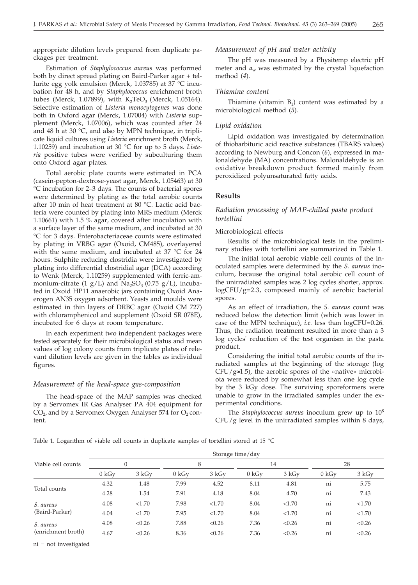appropriate dilution levels prepared from duplicate packages per treatment.

Estimation of *Staphylococcus aureus* was performed both by direct spread plating on Baird-Parker agar + tellurite egg yolk emulsion (Merck, 1.03785) at 37 °C incubation for 48 h, and by *Staphylococcus* enrichment broth tubes (Merck, 1.07899), with  $K_2TeO_3$  (Merck, 1.05164). Selective estimation of *Listeria monocytogenes* was done both in Oxford agar (Merck, 1.07004) with *Listeria* supplement (Merck, 1.07006), which was counted after 24 and 48 h at 30 °C, and also by MPN technique, in triplicate liquid cultures using *Listeria* enrichment broth (Merck, 1.10259) and incubation at 30 °C for up to 5 days. *Listeria* positive tubes were verified by subculturing them onto Oxford agar plates.

Total aerobic plate counts were estimated in PCA (casein-pepton-dextrose-yeast agar, Merck, 1.05463) at 30 °C incubation for 2–3 days. The counts of bacterial spores were determined by plating as the total aerobic counts after 10 min of heat treatment at 80 °C. Lactic acid bacteria were counted by plating into MRS medium (Merck 1.10661) with 1.5 % agar, covered after inoculation with a surface layer of the same medium, and incubated at 30 °C for 3 days. Enterobacteriaceae counts were estimated by plating in VRBG agar (Oxoid, CM485), overlayered with the same medium, and incubated at 37 °C for 24 hours. Sulphite reducing clostridia were investigated by plating into differential clostridial agar (DCA) according to Wenk (Merck, 1.10259) supplemented with ferric-ammonium-citrate (1 g/L) and  $\text{Na}_2\text{SO}_3$  (0.75 g/L), incubated in Oxoid HP11 anaerobic jars containing Oxoid Anaerogen AN35 oxygen adsorbent. Yeasts and moulds were estimated in thin layers of DRBC agar (Oxoid CM 727) with chloramphenicol and supplement (Oxoid SR 078E), incubated for 6 days at room temperature.

In each experiment two independent packages were tested separately for their microbiological status and mean values of log colony counts from triplicate plates of relevant dilution levels are given in the tables as individual figures.

### *Measurement of the head-space gas-composition*

The head-space of the MAP samples was checked by a Servomex IR Gas Analyser PA 404 equipment for  $CO<sub>2</sub>$ , and by a Servomex Oxygen Analyser 574 for  $O<sub>2</sub>$  content.

### *Measurement of pH and water activity*

The pH was measured by a Physitemp electric pH meter and  $a_w$  was estimated by the crystal liquefaction method (*4*).

#### *Thiamine content*

Thiamine (vitamin  $B_1$ ) content was estimated by a microbiological method (*5*).

#### *Lipid oxidation*

Lipid oxidation was investigated by determination of thiobarbituric acid reactive substances (TBARS values) according to Newburg and Concon (*6*), expressed in malonaldehyde (MA) concentrations. Malonaldehyde is an oxidative breakdown product formed mainly from peroxidized polyunsaturated fatty acids.

### **Results**

### *Radiation processing of MAP-chilled pasta product tortellini*

#### Microbiological effects

Results of the microbiological tests in the preliminary studies with tortellini are summarized in Table 1.

The initial total aerobic viable cell counts of the inoculated samples were determined by the *S. aureus* inoculum, because the original total aerobic cell count of the unirradiated samples was 2 log cycles shorter, approx. logCFU/g=2.3, composed mainly of aerobic bacterial spores.

As an effect of irradiation, the *S. aureus* count was reduced below the detection limit (which was lower in case of the MPN technique), *i.e.* less than logCFU=0.26. Thus, the radiation treatment resulted in more than a 3 log cycles' reduction of the test organism in the pasta product.

Considering the initial total aerobic counts of the irradiated samples at the beginning of the storage (log  $CFU/g \approx 1.5$ ), the aerobic spores of the »native« microbiota were reduced by somewhat less than one log cycle by the 3 kGy dose. The surviving sporeformers were unable to grow in the irradiated samples under the experimental conditions.

The *Staphylococcus aureus* inoculum grew up to 108 CFU/g level in the unirradiated samples within 8 days,

Table 1. Logarithm of viable cell counts in duplicate samples of tortellini stored at 15 °C

|                    | Storage time/day |        |       |        |       |        |       |        |  |  |  |
|--------------------|------------------|--------|-------|--------|-------|--------|-------|--------|--|--|--|
| Viable cell counts |                  | 0      |       | 8      |       | 14     | 28    |        |  |  |  |
|                    | 0 kGv            | 3 kGv  | 0 kGv | 3 kGv  | 0 kGv | 3 kGy  | 0 kGv | 3 kGy  |  |  |  |
| Total counts       | 4.32             | 1.48   | 7.99  | 4.52   | 8.11  | 4.81   | ni    | 5.75   |  |  |  |
|                    | 4.28             | 1.54   | 7.91  | 4.18   | 8.04  | 4.70   | ni    | 7.43   |  |  |  |
| S. aureus          | 4.08             | < 1.70 | 7.98  | < 1.70 | 8.04  | < 1.70 | ni    | < 1.70 |  |  |  |
| (Baird-Parker)     | 4.04             | < 1.70 | 7.95  | < 1.70 | 8.04  | < 1.70 | ni    | < 1.70 |  |  |  |
| S. aureus          | 4.08             | < 0.26 | 7.88  | < 0.26 | 7.36  | < 0.26 | ni    | < 0.26 |  |  |  |
| (enrichment broth) | 4.67             | < 0.26 | 8.36  | < 0.26 | 7.36  | < 0.26 | ni    | < 0.26 |  |  |  |

ni = not investigated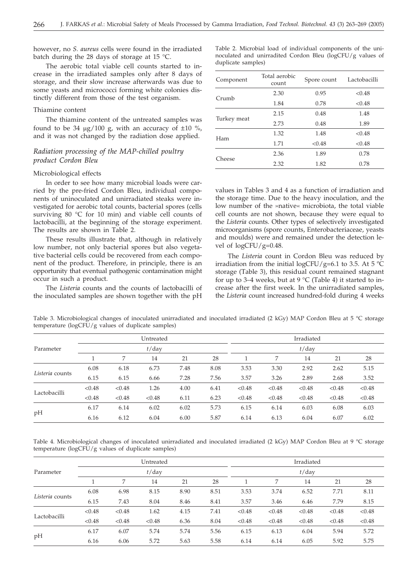however, no *S. aureus* cells were found in the irradiated batch during the 28 days of storage at 15 °C.

The aerobic total viable cell counts started to increase in the irradiated samples only after 8 days of storage, and their slow increase afterwards was due to some yeasts and micrococci forming white colonies distinctly different from those of the test organism.

#### Thiamine content

The thiamine content of the untreated samples was found to be 34  $\mu$ g/100 g, with an accuracy of  $\pm 10$  %, and it was not changed by the radiation dose applied.

### *Radiation processing of the MAP-chilled poultry product Cordon Bleu*

### Microbiological effects

In order to see how many microbial loads were carried by the pre-fried Cordon Bleu, individual components of uninoculated and unirradiated steaks were investigated for aerobic total counts, bacterial spores (cells surviving 80 °C for 10 min) and viable cell counts of lactobacilli, at the beginning of the storage experiment. The results are shown in Table 2.

These results illustrate that, although in relatively low number, not only bacterial spores but also vegetative bacterial cells could be recovered from each component of the product. Therefore, in principle, there is an opportunity that eventual pathogenic contamination might occur in such a product.

The *Listeria* counts and the counts of lactobacilli of the inoculated samples are shown together with the pH Table 2. Microbial load of individual components of the uninoculated and unirradited Cordon Bleu (logCFU/g values of duplicate samples)

| Component   | Total aerobic<br>count | Spore count | Lactobacilli |
|-------------|------------------------|-------------|--------------|
|             | 2.30                   | 0.95        | < 0.48       |
| Crumb       | 1.84                   | 0.78        | < 0.48       |
|             | 2.15                   | 0.48        | 1.48         |
| Turkey meat | 2.73                   | 0.48        | 1.89         |
|             | 1.32                   | 1.48        | < 0.48       |
| Ham         | 1.71                   | < 0.48      | < 0.48       |
|             | 2.36                   | 1.89        | 0.78         |
| Cheese      | 2.32                   | 1.82        | 0.78         |

values in Tables 3 and 4 as a function of irradiation and the storage time. Due to the heavy inoculation, and the low number of the »native« microbiota, the total viable cell counts are not shown, because they were equal to the *Listeria* counts. Other types of selectively investigated microorganisms (spore counts, Enterobacteriaceae, yeasts and moulds) were and remained under the detection level of  $logCFU/g=0.48$ .

The *Listeria* count in Cordon Bleu was reduced by irradiation from the initial logCFU/g=6.1 to 3.5. At 5  $^{\circ}$ C storage (Table 3), this residual count remained stagnant for up to 3–4 weeks, but at 9  $\mathrm{C}$  (Table 4) it started to increase after the first week. In the unirradiated samples, the *Listeria* count increased hundred-fold during 4 weeks

Table 3. Microbiological changes of inoculated unirradiated and inoculated irradiated (2 kGy) MAP Cordon Bleu at 5 °C storage temperature (logCFU/g values of duplicate samples)

|                 |          |        | Untreated |      |      | Irradiated |          |        |        |        |  |  |  |
|-----------------|----------|--------|-----------|------|------|------------|----------|--------|--------|--------|--|--|--|
| Parameter       | $t$ /day |        |           |      |      |            | $t$ /day |        |        |        |  |  |  |
|                 |          | 7      | 14        | 21   | 28   |            | 7        | 14     | 21     | 28     |  |  |  |
| Listeria counts | 6.08     | 6.18   | 6.73      | 7.48 | 8.08 | 3.53       | 3.30     | 2.92   | 2.62   | 5.15   |  |  |  |
|                 | 6.15     | 6.15   | 6.66      | 7.28 | 7.56 | 3.57       | 3.26     | 2.89   | 2.68   | 3.52   |  |  |  |
| Lactobacilli    | < 0.48   | < 0.48 | 1.26      | 4.00 | 6.41 | < 0.48     | < 0.48   | < 0.48 | < 0.48 | < 0.48 |  |  |  |
|                 | < 0.48   | < 0.48 | < 0.48    | 6.11 | 6.23 | < 0.48     | < 0.48   | < 0.48 | < 0.48 | < 0.48 |  |  |  |
|                 | 6.17     | 6.14   | 6.02      | 6.02 | 5.73 | 6.15       | 6.14     | 6.03   | 6.08   | 6.03   |  |  |  |
| pH              | 6.16     | 6.12   | 6.04      | 6.00 | 5.87 | 6.14       | 6.13     | 6.04   | 6.07   | 6.02   |  |  |  |

Table 4. Microbiological changes of inoculated unirradiated and inoculated irradiated (2 kGy) MAP Cordon Bleu at 9 °C storage temperature (logCFU/g values of duplicate samples)

|                 |          |        | Untreated |      |      | Irradiated |          |        |        |        |  |  |  |
|-----------------|----------|--------|-----------|------|------|------------|----------|--------|--------|--------|--|--|--|
| Parameter       | $t$ /day |        |           |      |      |            | $t$ /day |        |        |        |  |  |  |
|                 |          | 7      | 14        | 21   | 28   |            | 7        | 14     | 21     | 28     |  |  |  |
| Listeria counts | 6.08     | 6.98   | 8.15      | 8.90 | 8.51 | 3.53       | 3.74     | 6.52   | 7.71   | 8.11   |  |  |  |
|                 | 6.15     | 7.43   | 8.04      | 8.46 | 8.41 | 3.57       | 3.46     | 6.46   | 7.79   | 8.15   |  |  |  |
| Lactobacilli    | < 0.48   | < 0.48 | 1.62      | 4.15 | 7.41 | < 0.48     | < 0.48   | < 0.48 | < 0.48 | < 0.48 |  |  |  |
|                 | < 0.48   | < 0.48 | < 0.48    | 6.36 | 8.04 | < 0.48     | < 0.48   | < 0.48 | < 0.48 | < 0.48 |  |  |  |
| pH              | 6.17     | 6.07   | 5.74      | 5.74 | 5.56 | 6.15       | 6.13     | 6.04   | 5.94   | 5.72   |  |  |  |
|                 | 6.16     | 6.06   | 5.72      | 5.63 | 5.58 | 6.14       | 6.14     | 6.05   | 5.92   | 5.75   |  |  |  |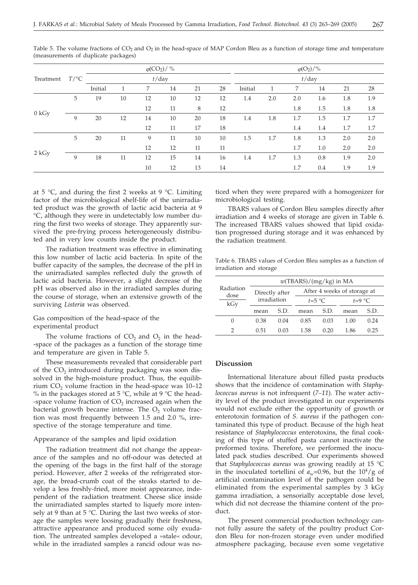|           |         |          |    | $\varphi$ (CO <sub>2</sub> )/ % |    |    | $\varphi(O_2)/\%$ |         |          |     |     |     |     |  |
|-----------|---------|----------|----|---------------------------------|----|----|-------------------|---------|----------|-----|-----|-----|-----|--|
| Treatment | $T$ /°C | $t$ /day |    |                                 |    |    |                   |         | $t$ /day |     |     |     |     |  |
|           |         | Initial  |    | 7                               | 14 | 21 | 28                | Initial |          | 7   | 14  | 21  | 28  |  |
|           | 5       | 19       | 10 | 12                              | 10 | 12 | 12                | 1.4     | 2.0      | 2.0 | 1.6 | 1.8 | 1.9 |  |
| 0 kGy     |         |          |    | 12                              | 11 | 8  | 12                |         |          | 1.8 | 1.5 | 1.8 | 1.8 |  |
|           | 9       | 20       | 12 | 14                              | 10 | 20 | 18                | 1.4     | 1.8      | 1.7 | 1.5 | 1.7 | 1.7 |  |
|           |         |          |    | 12                              | 11 | 17 | 18                |         |          | 1.4 | 1.4 | 1.7 | 1.7 |  |
| 2 kGy     | 5       | 20       | 11 | 9                               | 11 | 10 | 10                | 1.5     | 1.7      | 1.8 | 1.3 | 2.0 | 2.0 |  |
|           |         |          |    | 12                              | 12 | 11 | 11                |         |          | 1.7 | 1.0 | 2.0 | 2.0 |  |
|           | 9       | 18       | 11 | 12                              | 15 | 14 | 16                | 1.4     | 1.7      | 1.3 | 0.8 | 1.9 | 2.0 |  |
|           |         |          |    | 10                              | 12 | 13 | 14                |         |          | 1.7 | 0.4 | 1.9 | 1.9 |  |

Table 5. The volume fractions of  $CO<sub>2</sub>$  and  $O<sub>2</sub>$  in the head-space of MAP Cordon Bleu as a function of storage time and temperature (measurements of duplicate packages)

at 5  $\degree$ C, and during the first 2 weeks at 9  $\degree$ C. Limiting factor of the microbiological shelf-life of the unirradiated product was the growth of lactic acid bacteria at 9 °C, although they were in undetectably low number during the first two weeks of storage. They apparently survived the pre-frying process heterogeneously distributed and in very low counts inside the product.

The radiation treatment was effective in eliminating this low number of lactic acid bacteria. In spite of the buffer capacity of the samples, the decrease of the pH in the unirradiated samples reflected duly the growth of lactic acid bacteria. However, a slight decrease of the pH was observed also in the irradiated samples during the course of storage, when an extensive growth of the surviving *Listeria* was observed.

### Gas composition of the head-space of the experimental product

The volume fractions of  $CO<sub>2</sub>$  and  $O<sub>2</sub>$  in the head--space of the packages as a function of the storage time and temperature are given in Table 5.

These measurements revealed that considerable part of the  $CO<sub>2</sub>$  introduced during packaging was soon dissolved in the high-moisture product. Thus, the equilibrium  $CO<sub>2</sub>$  volume fraction in the head-space was 10–12 % in the packages stored at 5 °C, while at 9 °C the head--space volume fraction of  $CO<sub>2</sub>$  increased again when the bacterial growth became intense. The  $O<sub>2</sub>$  volume fraction was most frequently between 1.5 and 2.0 %, irrespective of the storage temperature and time.

### Appearance of the samples and lipid oxidation

The radiation treatment did not change the appearance of the samples and no off-odour was detected at the opening of the bags in the first half of the storage period. However, after 2 weeks of the refrigerated storage, the bread-crumb coat of the steaks started to develop a less freshly-fried, more moist appearance, independent of the radiation treatment. Cheese slice inside the unirradiated samples started to liquefy more intensely at 9 than at 5 °C. During the last two weeks of storage the samples were loosing gradually their freshness, attractive appearance and produced some oily exudation. The untreated samples developed a »stale« odour, while in the irradiated samples a rancid odour was no-

ticed when they were prepared with a homogenizer for microbiological testing.

TBARS values of Cordon Bleu samples directly after irradiation and 4 weeks of storage are given in Table 6. The increased TBARS values showed that lipid oxidation progressed during storage and it was enhanced by the radiation treatment.

Table 6. TBARS values of Cordon Bleu samples as a function of irradiation and storage

|                          | $w(TBARS)/(mg/kg)$ in MA |      |                             |      |          |      |  |  |  |  |
|--------------------------|--------------------------|------|-----------------------------|------|----------|------|--|--|--|--|
| Radiation<br>dose<br>kGy | Directly after           |      | After 4 weeks of storage at |      |          |      |  |  |  |  |
|                          | irradiation              |      | $t=5$ °C                    |      | $t=9$ °C |      |  |  |  |  |
|                          | mean                     | S.D. | mean                        | S.D. | mean     | S.D. |  |  |  |  |
| $\Omega$                 | 0.38                     | 0.04 | 0.85                        | 0.03 | 1.00     | 0.24 |  |  |  |  |
|                          | 0.51                     | 0.03 | 1.58                        | 0.20 | 1.86     | 0.25 |  |  |  |  |

### **Discussion**

International literature about filled pasta products shows that the incidence of contamination with *Staphylococcus aureus* is not infrequent (*7–11*). The water activity level of the product investigated in our experiments would not exclude either the opportunity of growth or enterotoxin formation of *S. aureus* if the pathogen contaminated this type of product. Because of the high heat resistance of *Staphylococcus* enterotoxins, the final cooking of this type of stuffed pasta cannot inactivate the preformed toxins. Therefore, we performed the inoculated pack studies described. Our experiments showed that *Staphylococcus aureus* was growing readily at 15 °C in the inoculated tortellini of  $a_w$ =0.96, but the 10<sup>4</sup>/g of artificial contamination level of the pathogen could be eliminated from the experimental samples by 3 kGy gamma irradiation, a sensorially acceptable dose level, which did not decrease the thiamine content of the product.

The present commercial production technology cannot fully assure the safety of the poultry product Cordon Bleu for non-frozen storage even under modified atmosphere packaging, because even some vegetative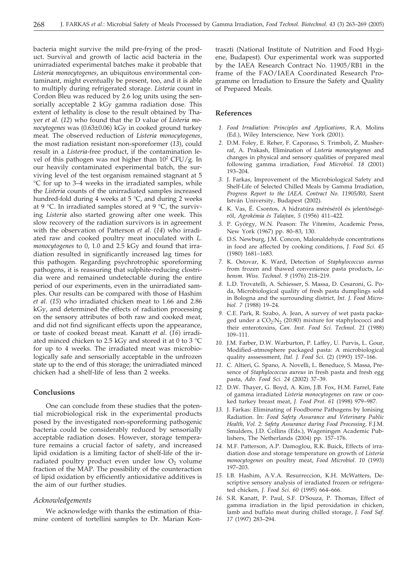bacteria might survive the mild pre-frying of the product. Survival and growth of lactic acid bacteria in the unirradiated experimental batches make it probable that *Listeria monocytogenes*, an ubiquitous environmental contaminant, might eventually be present, too, and it is able to multiply during refrigerated storage. *Listeria* count in Cordon Bleu was reduced by 2.6 log units using the sensorially acceptable 2 kGy gamma radiation dose. This extent of lethality is close to the result obtained by Thayer *et al.* (*12*) who found that the D value of *Listeria monocytogenes* was (0.63±0.06) kGy in cooked ground turkey meat. The observed reduction of *Listeria monocytogenes*, the most radiation resistant non-sporeformer (*13*), could result in a *Listeria*-free product, if the contamination level of this pathogen was not higher than  $10^2$  CFU/g. In our heavily contaminated experimental batch, the surviving level of the test organism remained stagnant at 5 °C for up to 3–4 weeks in the irradiated samples, while the *Listeria* counts of the unirradiated samples increased hundred-fold during 4 weeks at 5 °C, and during 2 weeks at 9 °C. In irradiated samples stored at 9 °C, the surviving *Listeria* also started growing after one week. This slow recovery of the radiation survivors is in agreement with the observation of Patterson *et al.* (*14*) who irradiated raw and cooked poultry meat inoculated with *L. monocytogenes* to 0, 1*.*0 and 2.5 kGy and found that irradiation resulted in significantly increased lag times for this pathogen. Regarding psychrotrophic sporeforming pathogens, it is reassuring that sulphite-reducing clostridia were and remained undetectable during the entire period of our experiments, even in the unirradiated samples. Our results can be compared with those of Hashim *et al.* (*15*) who irradiated chicken meat to 1.66 and 2.86 kGy, and determined the effects of radiation processing on the sensory attributes of both raw and cooked meat, and did not find significant effects upon the appearance, or taste of cooked breast meat. Kanatt *et al*. (*16*) irradiated minced chicken to 2.5 kGy and stored it at 0 to 3 °C for up to 4 weeks. The irradiated meat was microbiologically safe and sensorially acceptable in the unfrozen state up to the end of this storage; the unirradiated minced chicken had a shelf-life of less than 2 weeks.

### **Conclusions**

One can conclude from these studies that the potential microbiological risk in the experimental products posed by the investigated non-sporeforming pathogenic bacteria could be considerably reduced by sensorially acceptable radiation doses. However, storage temperature remains a crucial factor of safety, and increased lipid oxidation is a limiting factor of shelf-life of the irradiated poultry product even under low  $O<sub>2</sub>$  volume fraction of the MAP. The possibility of the counteraction of lipid oxidation by efficiently antioxidative additives is the aim of our further studies.

#### *Acknowledgements*

We acknowledge with thanks the estimation of thiamine content of tortellini samples to Dr. Marian Kon-

traszti (National Institute of Nutrition and Food Hygiene, Budapest). Our experimental work was supported by the IAEA Research Contract No. 11905/RB1 in the frame of the FAO/IAEA Coordinated Research Programme on Irradiation to Ensure the Safety and Quality of Prepared Meals.

### **References**

- *1. Food Irradiation: Principles and Applications*, R.A. Molins (Ed.), Wiley Interscience, New York (2001).
- *2.* D.M. Foley, E. Reher, F. Caporaso, S. Trimboli, Z. Musherraf, A. Prakash, Elimination of *Listeria monocytogenes* and changes in physical and sensory qualities of prepared meal following gamma irradiation, *Food Microbiol. 18* (2001) 193–204.
- *3.* J. Farkas, Improvement of the Microbiological Safety and Shelf-Life of Selected Chilled Meals by Gamma Irradiation, *Progress Report to the IAEA. Contract No. 11905/R0*, Szent István University, Budapest (2002).
- *4.* K. Vas, É. Csontos, A hidratúra mérésérõl és jelentõségérõl, *Agrokémia és Talajtan, 5* (1956) 411–422.
- *5.* P. György, W.N. Peason: *The Vitamins*, Academic Press, New York (1967) pp. 80–83, 130.
- *6.* D.S. Newburg, J.M. Concon, Malonaldehyde concentrations in food are affected by cooking conditions, *J. Food Sci. 45* (1980) 1681–1683.
- *7.* K. Ostovar, K. Ward, Detection of *Staphylococcus aureus* from frozen and thawed convenience pasta products, *Lebensm. Wiss. Technol. 9* (1976) 218–219.
- *8.* L.D. Trovatelli, A. Schiesser, S. Massa, D. Cesaroni, G. Poda, Microbiological quality of fresh pasta dumplings sold in Bologna and the surrounding district, *Int. J. Food Microbiol. 7* (1988) 19–24.
- *9.* C.E. Park, R. Szabo, A. Jean, A survey of wet pasta packaged under a  $CO<sub>2</sub>:N<sub>2</sub>$  (20:80) mixture for staphylococci and their enterotoxins, *Can. Inst. Food Sci. Technol. 21* (1988) 109–111.
- *10.* J.M. Farber, D.W. Warburton, P. Laffey, U. Purvis, L. Gour, Modified–atmosphere packaged pasta: A microbiological quality asssessment, *Ital. J. Food Sci.* (2) (1993) 157–166.
- *11.* C. Altieri, G. Spano, A. Novelli, L. Beneduce, S. Massa, Presence of *Staphylococcus aureus* in fresh pasta and fresh egg pasta, *Adv. Food Sci. 24* (2002) 37–39.
- *12.* D.W. Thayer, G. Boyd, A. Kim, J.B. Fox, H.M. Farrel, Fate of gamma irradiated *Listeria monocytogenes* on raw or cooked turkey breast meat, *J. Food Prot. 61* (1998) 979–987.
- *13.* J. Farkas: Eliminating of Foodborne Pathogens by Ionising Radiation. In: *Food Safety Assurance and Veterinary Public Health, Vol. 2: Safety Assurance during Food Processing,* F.J.M. Smulders, J.D. Collins (Eds.), Wageningen Academic Publishers, The Netherlands (2004) pp. 157–176.
- *14.* M.F. Patterson, A.P. Damoglou, R.K. Buick, Effects of irradiation dose and storage temperature on growth of *Listeria monocytogenes* on poultry meat, *Food Microbiol. 10* (1993) 197–203.
- *15.* I.B. Hashim, A.V.A. Resurreccion, K.H. McWatters, Descriptive sensory analysis of irradiated frozen or refrigerated chicken, *J. Food Sci. 60* (1995) 664–666.
- *16.* S.R. Kanatt, P. Paul, S.F. D'Souza, P. Thomas, Effect of gamma irradiation in the lipid peroxidation in chicken, lamb and buffalo meat during chilled storage, *J. Food Saf. 17* (1997) 283–294.